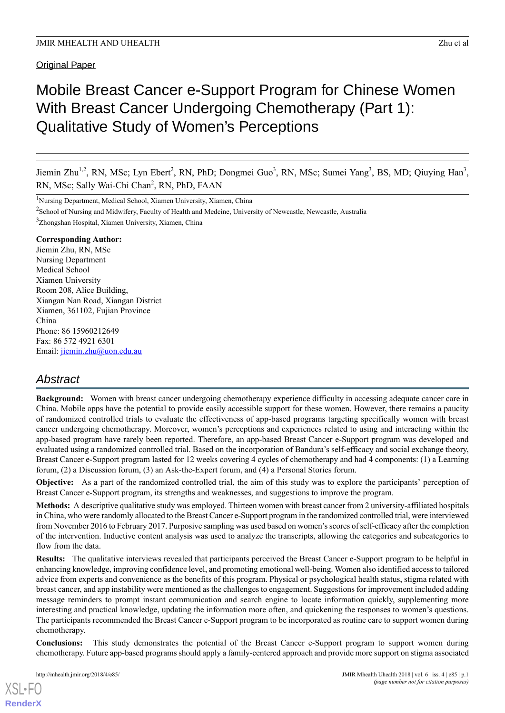## Original Paper

# Mobile Breast Cancer e-Support Program for Chinese Women With Breast Cancer Undergoing Chemotherapy (Part 1): Qualitative Study of Women's Perceptions

Jiemin Zhu<sup>1,2</sup>, RN, MSc; Lyn Ebert<sup>2</sup>, RN, PhD; Dongmei Guo<sup>3</sup>, RN, MSc; Sumei Yang<sup>3</sup>, BS, MD; Qiuying Han<sup>3</sup>, RN, MSc; Sally Wai-Chi Chan<sup>2</sup>, RN, PhD, FAAN

<sup>1</sup>Nursing Department, Medical School, Xiamen University, Xiamen, China

<sup>2</sup>School of Nursing and Midwifery, Faculty of Health and Medcine, University of Newcastle, Newcastle, Australia <sup>3</sup>Zhongshan Hospital, Xiamen University, Xiamen, China

### **Corresponding Author:**

Jiemin Zhu, RN, MSc Nursing Department Medical School Xiamen University Room 208, Alice Building, Xiangan Nan Road, Xiangan District Xiamen, 361102, Fujian Province China Phone: 86 15960212649 Fax: 86 572 4921 6301 Email: [jiemin.zhu@uon.edu.au](mailto:jiemin.zhu@uon.edu.au)

## *Abstract*

**Background:** Women with breast cancer undergoing chemotherapy experience difficulty in accessing adequate cancer care in China. Mobile apps have the potential to provide easily accessible support for these women. However, there remains a paucity of randomized controlled trials to evaluate the effectiveness of app-based programs targeting specifically women with breast cancer undergoing chemotherapy. Moreover, women's perceptions and experiences related to using and interacting within the app-based program have rarely been reported. Therefore, an app-based Breast Cancer e-Support program was developed and evaluated using a randomized controlled trial. Based on the incorporation of Bandura's self-efficacy and social exchange theory, Breast Cancer e-Support program lasted for 12 weeks covering 4 cycles of chemotherapy and had 4 components: (1) a Learning forum, (2) a Discussion forum, (3) an Ask-the-Expert forum, and (4) a Personal Stories forum.

**Objective:** As a part of the randomized controlled trial, the aim of this study was to explore the participants' perception of Breast Cancer e-Support program, its strengths and weaknesses, and suggestions to improve the program.

**Methods:** A descriptive qualitative study was employed. Thirteen women with breast cancer from 2 university-affiliated hospitals in China, who were randomly allocated to the Breast Cancer e-Support program in the randomized controlled trial, were interviewed from November 2016 to February 2017. Purposive sampling was used based on women's scores of self-efficacy after the completion of the intervention. Inductive content analysis was used to analyze the transcripts, allowing the categories and subcategories to flow from the data.

**Results:** The qualitative interviews revealed that participants perceived the Breast Cancer e-Support program to be helpful in enhancing knowledge, improving confidence level, and promoting emotional well-being. Women also identified access to tailored advice from experts and convenience as the benefits of this program. Physical or psychological health status, stigma related with breast cancer, and app instability were mentioned as the challenges to engagement. Suggestions for improvement included adding message reminders to prompt instant communication and search engine to locate information quickly, supplementing more interesting and practical knowledge, updating the information more often, and quickening the responses to women's questions. The participants recommended the Breast Cancer e-Support program to be incorporated as routine care to support women during chemotherapy.

**Conclusions:** This study demonstrates the potential of the Breast Cancer e-Support program to support women during chemotherapy. Future app-based programs should apply a family-centered approach and provide more support on stigma associated

[XSL](http://www.w3.org/Style/XSL)•FO **[RenderX](http://www.renderx.com/)**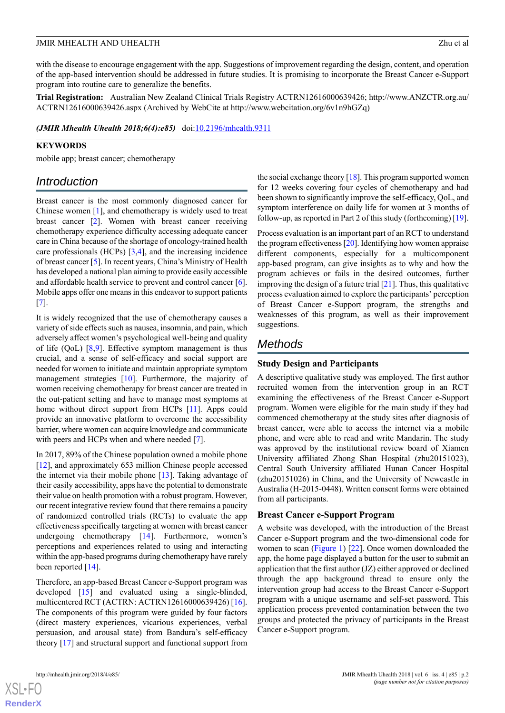with the disease to encourage engagement with the app. Suggestions of improvement regarding the design, content, and operation of the app-based intervention should be addressed in future studies. It is promising to incorporate the Breast Cancer e-Support program into routine care to generalize the benefits.

**Trial Registration:** Australian New Zealand Clinical Trials Registry ACTRN12616000639426; http://www.ANZCTR.org.au/ ACTRN12616000639426.aspx (Archived by WebCite at http://www.webcitation.org/6v1n9hGZq)

*(JMIR Mhealth Uhealth 2018;6(4):e85)* doi[:10.2196/mhealth.9311](http://dx.doi.org/10.2196/mhealth.9311)

## **KEYWORDS**

mobile app; breast cancer; chemotherapy

## *Introduction*

Breast cancer is the most commonly diagnosed cancer for Chinese women [[1\]](#page-9-0), and chemotherapy is widely used to treat breast cancer [[2\]](#page-9-1). Women with breast cancer receiving chemotherapy experience difficulty accessing adequate cancer care in China because of the shortage of oncology-trained health care professionals (HCPs)  $[3,4]$  $[3,4]$  $[3,4]$  $[3,4]$ , and the increasing incidence of breast cancer [\[5](#page-9-4)]. In recent years, China's Ministry of Health has developed a national plan aiming to provide easily accessible and affordable health service to prevent and control cancer [[6\]](#page-9-5). Mobile apps offer one means in this endeavor to support patients [[7\]](#page-9-6).

It is widely recognized that the use of chemotherapy causes a variety of side effects such as nausea, insomnia, and pain, which adversely affect women's psychological well-being and quality of life (QoL)  $[8,9]$  $[8,9]$  $[8,9]$  $[8,9]$ . Effective symptom management is thus crucial, and a sense of self-efficacy and social support are needed for women to initiate and maintain appropriate symptom management strategies [\[10](#page-10-1)]. Furthermore, the majority of women receiving chemotherapy for breast cancer are treated in the out-patient setting and have to manage most symptoms at home without direct support from HCPs [\[11\]](#page-10-2). Apps could provide an innovative platform to overcome the accessibility barrier, where women can acquire knowledge and communicate with peers and HCPs when and where needed [\[7](#page-9-6)].

In 2017, 89% of the Chinese population owned a mobile phone [[12\]](#page-10-3), and approximately 653 million Chinese people accessed the internet via their mobile phone [[13\]](#page-10-4). Taking advantage of their easily accessibility, apps have the potential to demonstrate their value on health promotion with a robust program. However, our recent integrative review found that there remains a paucity of randomized controlled trials (RCTs) to evaluate the app effectiveness specifically targeting at women with breast cancer undergoing chemotherapy [[14\]](#page-10-5). Furthermore, women's perceptions and experiences related to using and interacting within the app-based programs during chemotherapy have rarely been reported [[14](#page-10-5)].

Therefore, an app-based Breast Cancer e-Support program was developed [[15\]](#page-10-6) and evaluated using a single-blinded, multicentered RCT (ACTRN: ACTRN12616000639426) [[16\]](#page-10-7). The components of this program were guided by four factors (direct mastery experiences, vicarious experiences, verbal persuasion, and arousal state) from Bandura's self-efficacy theory [[17\]](#page-10-8) and structural support and functional support from

the social exchange theory  $[18]$  $[18]$ . This program supported women for 12 weeks covering four cycles of chemotherapy and had been shown to significantly improve the self-efficacy, QoL, and symptom interference on daily life for women at 3 months of follow-up, as reported in Part 2 of this study (forthcoming) [\[19\]](#page-10-10).

Process evaluation is an important part of an RCT to understand the program effectiveness [\[20\]](#page-10-11). Identifying how women appraise different components, especially for a multicomponent app-based program, can give insights as to why and how the program achieves or fails in the desired outcomes, further improving the design of a future trial  $[21]$  $[21]$  $[21]$ . Thus, this qualitative process evaluation aimed to explore the participants' perception of Breast Cancer e-Support program, the strengths and weaknesses of this program, as well as their improvement suggestions.

## *Methods*

## **Study Design and Participants**

A descriptive qualitative study was employed. The first author recruited women from the intervention group in an RCT examining the effectiveness of the Breast Cancer e-Support program. Women were eligible for the main study if they had commenced chemotherapy at the study sites after diagnosis of breast cancer, were able to access the internet via a mobile phone, and were able to read and write Mandarin. The study was approved by the institutional review board of Xiamen University affiliated Zhong Shan Hospital (zhu20151023), Central South University affiliated Hunan Cancer Hospital (zhu20151026) in China, and the University of Newcastle in Australia (H-2015-0448). Written consent forms were obtained from all participants.

## **Breast Cancer e-Support Program**

A website was developed, with the introduction of the Breast Cancer e-Support program and the two-dimensional code for women to scan [\(Figure 1](#page-2-0)) [[22\]](#page-10-13). Once women downloaded the app, the home page displayed a button for the user to submit an application that the first author (JZ) either approved or declined through the app background thread to ensure only the intervention group had access to the Breast Cancer e-Support program with a unique username and self-set password. This application process prevented contamination between the two groups and protected the privacy of participants in the Breast Cancer e-Support program.



 $XS$ -FO **[RenderX](http://www.renderx.com/)**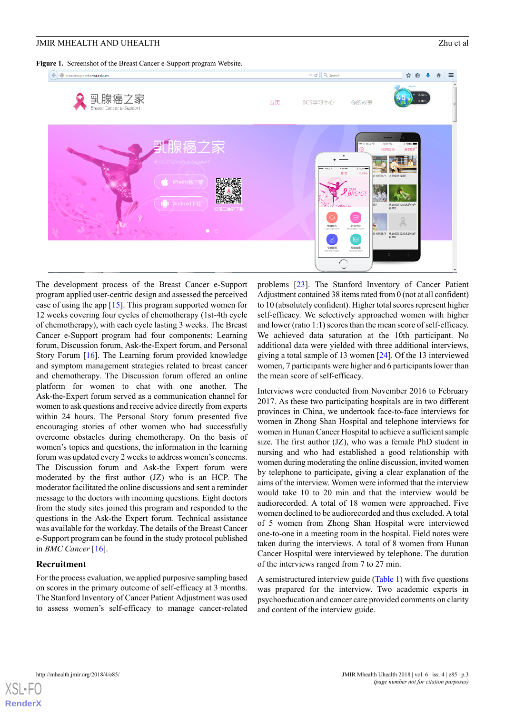<span id="page-2-0"></span>**Figure 1.** Screenshot of the Breast Cancer e-Support program Website.



The development process of the Breast Cancer e-Support program applied user-centric design and assessed the perceived ease of using the app [[15\]](#page-10-6). This program supported women for 12 weeks covering four cycles of chemotherapy (1st-4th cycle of chemotherapy), with each cycle lasting 3 weeks. The Breast Cancer e-Support program had four components: Learning forum, Discussion forum, Ask-the-Expert forum, and Personal Story Forum [[16\]](#page-10-7). The Learning forum provided knowledge and symptom management strategies related to breast cancer and chemotherapy. The Discussion forum offered an online platform for women to chat with one another. The Ask-the-Expert forum served as a communication channel for women to ask questions and receive advice directly from experts within 24 hours. The Personal Story forum presented five encouraging stories of other women who had successfully overcome obstacles during chemotherapy. On the basis of women's topics and questions, the information in the learning forum was updated every 2 weeks to address women's concerns. The Discussion forum and Ask-the Expert forum were moderated by the first author (JZ) who is an HCP. The moderator facilitated the online discussions and sent a reminder message to the doctors with incoming questions. Eight doctors from the study sites joined this program and responded to the questions in the Ask-the Expert forum. Technical assistance was available for the workday. The details of the Breast Cancer e-Support program can be found in the study protocol published in *BMC Cancer* [[16\]](#page-10-7).

#### **Recruitment**

For the process evaluation, we applied purposive sampling based on scores in the primary outcome of self-efficacy at 3 months. The Stanford Inventory of Cancer Patient Adjustment was used to assess women's self-efficacy to manage cancer-related

problems [[23\]](#page-10-14). The Stanford Inventory of Cancer Patient Adjustment contained 38 items rated from 0 (not at all confident) to 10 (absolutely confident). Higher total scores represent higher self-efficacy. We selectively approached women with higher and lower (ratio 1:1) scores than the mean score of self-efficacy. We achieved data saturation at the 10th participant. No additional data were yielded with three additional interviews, giving a total sample of 13 women [[24\]](#page-10-15). Of the 13 interviewed women, 7 participants were higher and 6 participants lower than the mean score of self-efficacy.

Interviews were conducted from November 2016 to February 2017. As these two participating hospitals are in two different provinces in China, we undertook face-to-face interviews for women in Zhong Shan Hospital and telephone interviews for women in Hunan Cancer Hospital to achieve a sufficient sample size. The first author (JZ), who was a female PhD student in nursing and who had established a good relationship with women during moderating the online discussion, invited women by telephone to participate, giving a clear explanation of the aims of the interview. Women were informed that the interview would take 10 to 20 min and that the interview would be audiorecorded. A total of 18 women were approached. Five women declined to be audiorecorded and thus excluded. A total of 5 women from Zhong Shan Hospital were interviewed one-to-one in a meeting room in the hospital. Field notes were taken during the interviews. A total of 8 women from Hunan Cancer Hospital were interviewed by telephone. The duration of the interviews ranged from 7 to 27 min.

A semistructured interview guide [\(Table 1\)](#page-3-0) with five questions was prepared for the interview. Two academic experts in psychoeducation and cancer care provided comments on clarity and content of the interview guide.

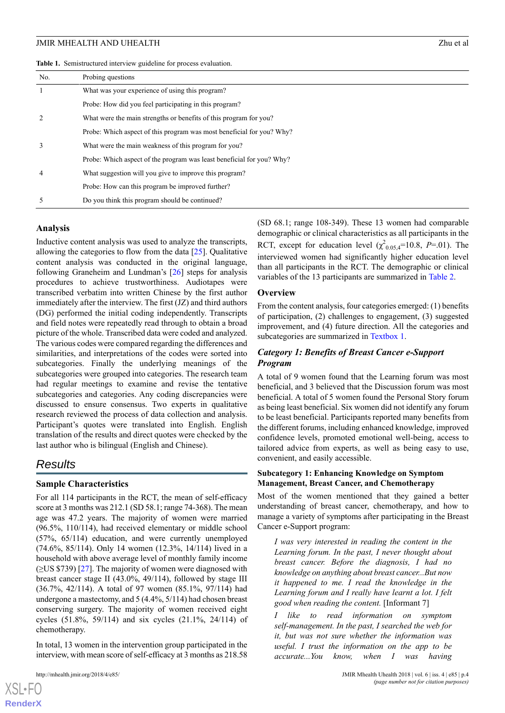<span id="page-3-0"></span>**Table 1.** Semistructured interview guideline for process evaluation.

| No.            | Probing questions                                                     |
|----------------|-----------------------------------------------------------------------|
| $\overline{1}$ | What was your experience of using this program?                       |
|                | Probe: How did you feel participating in this program?                |
| 2              | What were the main strengths or benefits of this program for you?     |
|                | Probe: Which aspect of this program was most beneficial for you? Why? |
| 3              | What were the main weakness of this program for you?                  |
|                | Probe: Which aspect of the program was least beneficial for you? Why? |
| $\overline{4}$ | What suggestion will you give to improve this program?                |
|                | Probe: How can this program be improved further?                      |
| 5              | Do you think this program should be continued?                        |

#### **Analysis**

Inductive content analysis was used to analyze the transcripts, allowing the categories to flow from the data [[25\]](#page-10-16). Qualitative content analysis was conducted in the original language, following Graneheim and Lundman's [\[26](#page-10-17)] steps for analysis procedures to achieve trustworthiness. Audiotapes were transcribed verbatim into written Chinese by the first author immediately after the interview. The first (JZ) and third authors (DG) performed the initial coding independently. Transcripts and field notes were repeatedly read through to obtain a broad picture of the whole. Transcribed data were coded and analyzed. The various codes were compared regarding the differences and similarities, and interpretations of the codes were sorted into subcategories. Finally the underlying meanings of the subcategories were grouped into categories. The research team had regular meetings to examine and revise the tentative subcategories and categories. Any coding discrepancies were discussed to ensure consensus. Two experts in qualitative research reviewed the process of data collection and analysis. Participant's quotes were translated into English. English translation of the results and direct quotes were checked by the last author who is bilingual (English and Chinese).

## *Results*

#### **Sample Characteristics**

For all 114 participants in the RCT, the mean of self-efficacy score at 3 months was 212.1 (SD 58.1; range 74-368). The mean age was 47.2 years. The majority of women were married (96.5%, 110/114), had received elementary or middle school (57%, 65/114) education, and were currently unemployed (74.6%, 85/114). Only 14 women (12.3%, 14/114) lived in a household with above average level of monthly family income (≥US \$739) [\[27](#page-10-18)]. The majority of women were diagnosed with breast cancer stage II (43.0%, 49/114), followed by stage III (36.7%, 42/114). A total of 97 women (85.1%, 97/114) had undergone a mastectomy, and 5 (4.4%, 5/114) had chosen breast conserving surgery. The majority of women received eight cycles (51.8%, 59/114) and six cycles (21.1%, 24/114) of chemotherapy.

In total, 13 women in the intervention group participated in the interview, with mean score of self-efficacy at 3 months as 218.58

[XSL](http://www.w3.org/Style/XSL)•FO **[RenderX](http://www.renderx.com/)**

(SD 68.1; range 108-349). These 13 women had comparable demographic or clinical characteristics as all participants in the RCT, except for education level  $(\chi^2_{0.05,4} = 10.8, P = .01)$ . The interviewed women had significantly higher education level than all participants in the RCT. The demographic or clinical variables of the 13 participants are summarized in [Table 2](#page-4-0).

## **Overview**

From the content analysis, four categories emerged: (1) benefits of participation, (2) challenges to engagement, (3) suggested improvement, and (4) future direction. All the categories and subcategories are summarized in [Textbox 1.](#page-5-0)

## *Category 1: Benefits of Breast Cancer e-Support Program*

A total of 9 women found that the Learning forum was most beneficial, and 3 believed that the Discussion forum was most beneficial. A total of 5 women found the Personal Story forum as being least beneficial. Six women did not identify any forum to be least beneficial. Participants reported many benefits from the different forums, including enhanced knowledge, improved confidence levels, promoted emotional well-being, access to tailored advice from experts, as well as being easy to use, convenient, and easily accessible.

#### **Subcategory 1: Enhancing Knowledge on Symptom Management, Breast Cancer, and Chemotherapy**

Most of the women mentioned that they gained a better understanding of breast cancer, chemotherapy, and how to manage a variety of symptoms after participating in the Breast Cancer e-Support program:

*I was very interested in reading the content in the Learning forum. In the past, I never thought about breast cancer. Before the diagnosis, I had no knowledge on anything about breast cancer...But now it happened to me. I read the knowledge in the Learning forum and I really have learnt a lot. I felt good when reading the content.* [Informant 7]

*I like to read information on symptom self-management. In the past, I searched the web for it, but was not sure whether the information was useful. I trust the information on the app to be accurate...You know, when I was having*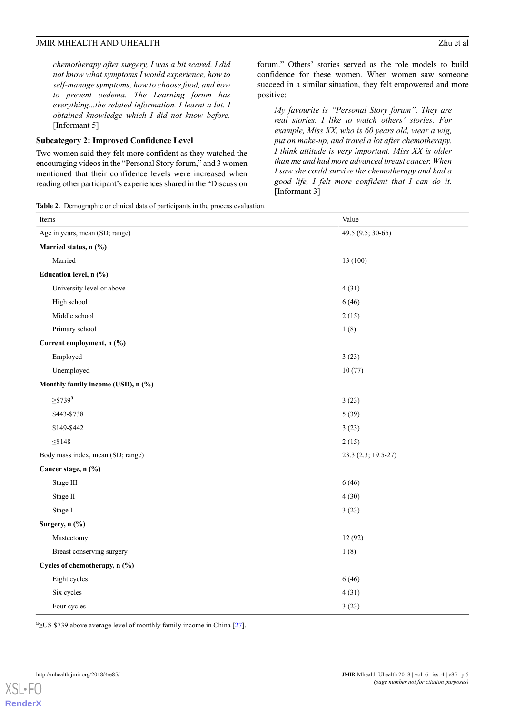*chemotherapy after surgery, I was a bit scared. I did not know what symptoms I would experience, how to self-manage symptoms, how to choose food, and how to prevent oedema. The Learning forum has everything...the related information. I learnt a lot. I obtained knowledge which I did not know before.* [Informant 5]

#### **Subcategory 2: Improved Confidence Level**

Two women said they felt more confident as they watched the encouraging videos in the "Personal Story forum," and 3 women mentioned that their confidence levels were increased when reading other participant's experiences shared in the "Discussion

forum." Others' stories served as the role models to build confidence for these women. When women saw someone succeed in a similar situation, they felt empowered and more positive:

*My favourite is "Personal Story forum". They are real stories. I like to watch others' stories. For example, Miss XX, who is 60 years old, wear a wig, put on make-up, and travel a lot after chemotherapy. I think attitude is very important. Miss XX is older than me and had more advanced breast cancer. When I saw she could survive the chemotherapy and had a good life, I felt more confident that I can do it.* [Informant 3]

<span id="page-4-0"></span>**Table 2.** Demographic or clinical data of participants in the process evaluation.

| Items                              | Value               |  |  |
|------------------------------------|---------------------|--|--|
| Age in years, mean (SD; range)     | 49.5 (9.5; 30-65)   |  |  |
| Married status, n (%)              |                     |  |  |
| Married                            | 13 (100)            |  |  |
| Education level, n (%)             |                     |  |  |
| University level or above          | 4(31)               |  |  |
| High school                        | 6(46)               |  |  |
| Middle school                      | 2(15)               |  |  |
| Primary school                     | 1(8)                |  |  |
| Current employment, n (%)          |                     |  |  |
| Employed                           | 3(23)               |  |  |
| Unemployed                         | 10(77)              |  |  |
| Monthly family income (USD), n (%) |                     |  |  |
| $\geq$ \$739 <sup>a</sup>          | 3(23)               |  |  |
| \$443-\$738                        | 5(39)               |  |  |
| \$149-\$442                        | 3(23)               |  |  |
| $\leq$ \$148                       | 2(15)               |  |  |
| Body mass index, mean (SD; range)  | 23.3 (2.3; 19.5-27) |  |  |
| Cancer stage, n (%)                |                     |  |  |
| Stage III                          | 6(46)               |  |  |
| Stage II                           | 4(30)               |  |  |
| Stage I                            | 3(23)               |  |  |
| Surgery, n (%)                     |                     |  |  |
| Mastectomy                         | 12(92)              |  |  |
| Breast conserving surgery          | 1(8)                |  |  |
| Cycles of chemotherapy, n (%)      |                     |  |  |
| Eight cycles                       | 6(46)               |  |  |
| Six cycles                         | 4(31)               |  |  |
| Four cycles                        | 3(23)               |  |  |

 $a_2$ US \$739 above average level of monthly family income in China [[27](#page-10-18)].

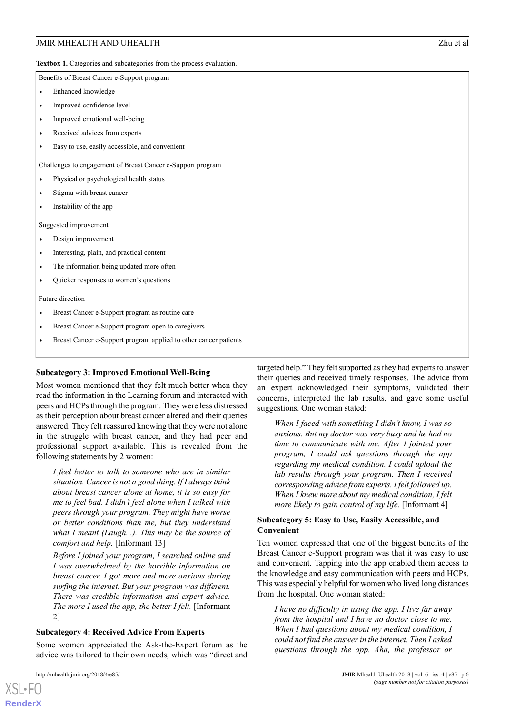<span id="page-5-0"></span>Textbox 1. Categories and subcategories from the process evaluation.

Benefits of Breast Cancer e-Support program

- Enhanced knowledge
- Improved confidence level
- Improved emotional well-being
- Received advices from experts
- Easy to use, easily accessible, and convenient

Challenges to engagement of Breast Cancer e-Support program

- Physical or psychological health status
- Stigma with breast cancer
- Instability of the app

Suggested improvement

- Design improvement
- Interesting, plain, and practical content
- The information being updated more often
- Quicker responses to women's questions

Future direction

- Breast Cancer e-Support program as routine care
- Breast Cancer e-Support program open to caregivers
- Breast Cancer e-Support program applied to other cancer patients

#### **Subcategory 3: Improved Emotional Well-Being**

Most women mentioned that they felt much better when they read the information in the Learning forum and interacted with peers and HCPs through the program. They were less distressed as their perception about breast cancer altered and their queries answered. They felt reassured knowing that they were not alone in the struggle with breast cancer, and they had peer and professional support available. This is revealed from the following statements by 2 women:

*I feel better to talk to someone who are in similar situation. Cancer is not a good thing. If I always think about breast cancer alone at home, it is so easy for me to feel bad. I didn't feel alone when I talked with peers through your program. They might have worse or better conditions than me, but they understand what I meant (Laugh...). This may be the source of comfort and help.* [Informant 13]

*Before I joined your program, I searched online and I was overwhelmed by the horrible information on breast cancer. I got more and more anxious during surfing the internet. But your program was different. There was credible information and expert advice. The more I used the app, the better I felt.* [Informant 2]

#### **Subcategory 4: Received Advice From Experts**

Some women appreciated the Ask-the-Expert forum as the advice was tailored to their own needs, which was "direct and

targeted help." They felt supported as they had experts to answer their queries and received timely responses. The advice from an expert acknowledged their symptoms, validated their concerns, interpreted the lab results, and gave some useful suggestions. One woman stated:

*When I faced with something I didn't know, I was so anxious. But my doctor was very busy and he had no time to communicate with me. After I jointed your program, I could ask questions through the app regarding my medical condition. I could upload the lab results through your program. Then I received corresponding advice from experts. I felt followed up. When I knew more about my medical condition, I felt more likely to gain control of my life.* [Informant 4]

#### **Subcategory 5: Easy to Use, Easily Accessible, and Convenient**

Ten women expressed that one of the biggest benefits of the Breast Cancer e-Support program was that it was easy to use and convenient. Tapping into the app enabled them access to the knowledge and easy communication with peers and HCPs. This was especially helpful for women who lived long distances from the hospital. One woman stated:

*I have no difficulty in using the app. I live far away from the hospital and I have no doctor close to me. When I had questions about my medical condition, I could not find the answer in the internet. Then I asked questions through the app. Aha, the professor or*

```
XSL•FO
RenderX
```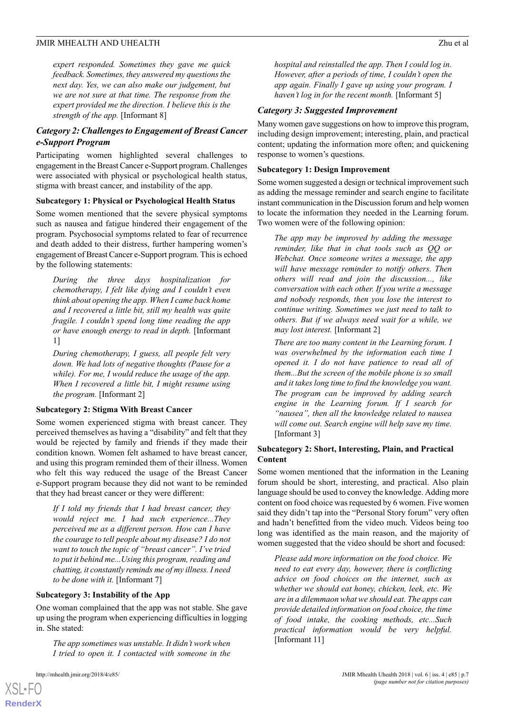*expert responded. Sometimes they gave me quick feedback. Sometimes, they answered my questions the next day. Yes, we can also make our judgement, but we are not sure at that time. The response from the expert provided me the direction. I believe this is the strength of the app.* [Informant 8]

## *Category 2: Challenges to Engagement of Breast Cancer e-Support Program*

Participating women highlighted several challenges to engagement in the Breast Cancer e-Support program. Challenges were associated with physical or psychological health status, stigma with breast cancer, and instability of the app.

#### **Subcategory 1: Physical or Psychological Health Status**

Some women mentioned that the severe physical symptoms such as nausea and fatigue hindered their engagement of the program. Psychosocial symptoms related to fear of recurrence and death added to their distress, further hampering women's engagement of Breast Cancer e-Support program. This is echoed by the following statements:

*During the three days hospitalization for chemotherapy, I felt like dying and I couldn't even think about opening the app. When I came back home and I recovered a little bit, still my health was quite fragile. I couldn't spend long time reading the app or have enough energy to read in depth.* [Informant 1]

*During chemotherapy, I guess, all people felt very down. We had lots of negative thoughts (Pause for a while). For me, I would reduce the usage of the app. When I recovered a little bit, I might resume using the program.* [Informant 2]

#### **Subcategory 2: Stigma With Breast Cancer**

Some women experienced stigma with breast cancer. They perceived themselves as having a "disability" and felt that they would be rejected by family and friends if they made their condition known. Women felt ashamed to have breast cancer, and using this program reminded them of their illness. Women who felt this way reduced the usage of the Breast Cancer e-Support program because they did not want to be reminded that they had breast cancer or they were different:

*If I told my friends that I had breast cancer, they would reject me. I had such experience...They perceived me as a different person. How can I have the courage to tell people about my disease? I do not want to touch the topic of "breast cancer". I've tried to put it behind me...Using this program, reading and chatting, it constantly reminds me of my illness. I need to be done with it.* [Informant 7]

#### **Subcategory 3: Instability of the App**

One woman complained that the app was not stable. She gave up using the program when experiencing difficulties in logging in. She stated:

*The app sometimes was unstable. It didn't work when I tried to open it. I contacted with someone in the*

[XSL](http://www.w3.org/Style/XSL)•FO **[RenderX](http://www.renderx.com/)**

*hospital and reinstalled the app. Then I could log in. However, after a periods of time, I couldn't open the app again. Finally I gave up using your program. I haven't log in for the recent month.* [Informant 5]

#### *Category 3: Suggested Improvement*

Many women gave suggestions on how to improve this program, including design improvement; interesting, plain, and practical content; updating the information more often; and quickening response to women's questions.

#### **Subcategory 1: Design Improvement**

Some women suggested a design or technical improvement such as adding the message reminder and search engine to facilitate instant communication in the Discussion forum and help women to locate the information they needed in the Learning forum. Two women were of the following opinion:

*The app may be improved by adding the message reminder, like that in chat tools such as QQ or Webchat. Once someone writes a message, the app will have message reminder to notify others. Then others will read and join the discussion..., like conversation with each other. If you write a message and nobody responds, then you lose the interest to continue writing. Sometimes we just need to talk to others. But if we always need wait for a while, we may lost interest.* [Informant 2]

*There are too many content in the Learning forum. I was overwhelmed by the information each time I opened it. I do not have patience to read all of them...But the screen of the mobile phone is so small and it takes long time to find the knowledge you want. The program can be improved by adding search engine in the Learning forum. If I search for "nausea", then all the knowledge related to nausea will come out. Search engine will help save my time.* [Informant 3]

### **Subcategory 2: Short, Interesting, Plain, and Practical Content**

Some women mentioned that the information in the Leaning forum should be short, interesting, and practical. Also plain language should be used to convey the knowledge. Adding more content on food choice was requested by 6 women. Five women said they didn't tap into the "Personal Story forum" very often and hadn't benefitted from the video much. Videos being too long was identified as the main reason, and the majority of women suggested that the video should be short and focused:

*Please add more information on the food choice. We need to eat every day, however, there is conflicting advice on food choices on the internet, such as whether we should eat honey, chicken, leek, etc. We are in a dilemmaon what we should eat. The apps can provide detailed information on food choice, the time of food intake, the cooking methods, etc...Such practical information would be very helpful.* [Informant 11]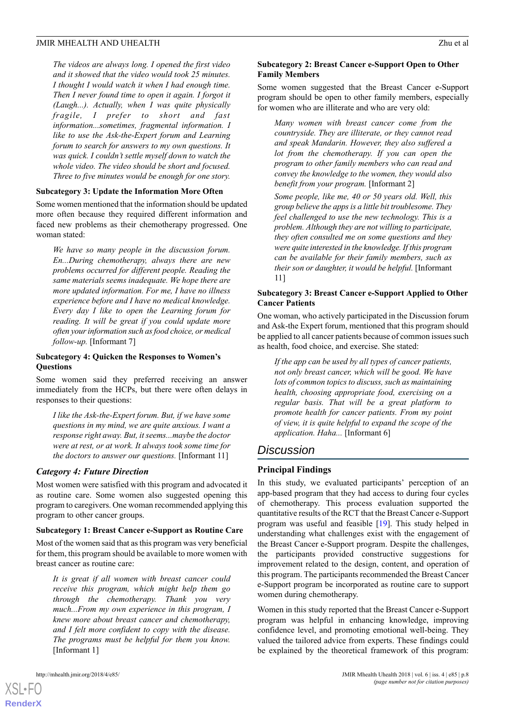*The videos are always long. I opened the first video and it showed that the video would took 25 minutes. I thought I would watch it when I had enough time. Then I never found time to open it again. I forgot it (Laugh...). Actually, when I was quite physically fragile, I prefer to short and fast information...sometimes, fragmental information. I like to use the Ask-the-Expert forum and Learning forum to search for answers to my own questions. It was quick. I couldn't settle myself down to watch the whole video. The video should be short and focused. Three to five minutes would be enough for one story.*

#### **Subcategory 3: Update the Information More Often**

Some women mentioned that the information should be updated more often because they required different information and faced new problems as their chemotherapy progressed. One woman stated:

*We have so many people in the discussion forum. En...During chemotherapy, always there are new problems occurred for different people. Reading the same materials seems inadequate. We hope there are more updated information. For me, I have no illness experience before and I have no medical knowledge. Every day I like to open the Learning forum for reading. It will be great if you could update more often your information such as food choice, or medical follow-up.* [Informant 7]

#### **Subcategory 4: Quicken the Responses to Women's Questions**

Some women said they preferred receiving an answer immediately from the HCPs, but there were often delays in responses to their questions:

*I like the Ask-the-Expert forum. But, if we have some questions in my mind, we are quite anxious. I want a response right away. But, it seems...maybe the doctor were at rest, or at work. It always took some time for the doctors to answer our questions.* [Informant 11]

#### *Category 4: Future Direction*

Most women were satisfied with this program and advocated it as routine care. Some women also suggested opening this program to caregivers. One woman recommended applying this program to other cancer groups.

#### **Subcategory 1: Breast Cancer e-Support as Routine Care**

Most of the women said that as this program was very beneficial for them, this program should be available to more women with breast cancer as routine care:

*It is great if all women with breast cancer could receive this program, which might help them go through the chemotherapy. Thank you very much...From my own experience in this program, I knew more about breast cancer and chemotherapy, and I felt more confident to copy with the disease. The programs must be helpful for them you know.* [Informant 1]

## **Subcategory 2: Breast Cancer e-Support Open to Other Family Members**

Some women suggested that the Breast Cancer e-Support program should be open to other family members, especially for women who are illiterate and who are very old:

*Many women with breast cancer come from the countryside. They are illiterate, or they cannot read and speak Mandarin. However, they also suffered a lot from the chemotherapy. If you can open the program to other family members who can read and convey the knowledge to the women, they would also benefit from your program.* [Informant 2]

*Some people, like me, 40 or 50 years old. Well, this group believe the apps is a little bit troublesome. They feel challenged to use the new technology. This is a problem. Although they are not willing to participate, they often consulted me on some questions and they were quite interested in the knowledge. If this program can be available for their family members, such as their son or daughter, it would be helpful.* [Informant 11]

## **Subcategory 3: Breast Cancer e-Support Applied to Other Cancer Patients**

One woman, who actively participated in the Discussion forum and Ask-the Expert forum, mentioned that this program should be applied to all cancer patients because of common issues such as health, food choice, and exercise. She stated:

*If the app can be used by all types of cancer patients, not only breast cancer, which will be good. We have lots of common topics to discuss, such as maintaining health, choosing appropriate food, exercising on a regular basis. That will be a great platform to promote health for cancer patients. From my point of view, it is quite helpful to expand the scope of the application. Haha...* [Informant 6]

## *Discussion*

## **Principal Findings**

In this study, we evaluated participants' perception of an app-based program that they had access to during four cycles of chemotherapy. This process evaluation supported the quantitative results of the RCT that the Breast Cancer e-Support program was useful and feasible [[19\]](#page-10-10). This study helped in understanding what challenges exist with the engagement of the Breast Cancer e-Support program. Despite the challenges, the participants provided constructive suggestions for improvement related to the design, content, and operation of this program. The participants recommended the Breast Cancer e-Support program be incorporated as routine care to support women during chemotherapy.

Women in this study reported that the Breast Cancer e-Support program was helpful in enhancing knowledge, improving confidence level, and promoting emotional well-being. They valued the tailored advice from experts. These findings could be explained by the theoretical framework of this program:

[XSL](http://www.w3.org/Style/XSL)•FO **[RenderX](http://www.renderx.com/)**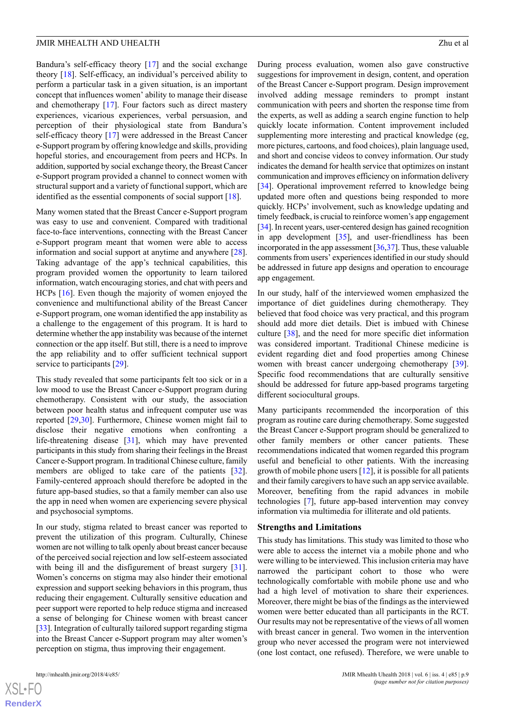Bandura's self-efficacy theory [\[17](#page-10-8)] and the social exchange theory [[18\]](#page-10-9). Self-efficacy, an individual's perceived ability to perform a particular task in a given situation, is an important concept that influences women' ability to manage their disease and chemotherapy [[17\]](#page-10-8). Four factors such as direct mastery experiences, vicarious experiences, verbal persuasion, and perception of their physiological state from Bandura's self-efficacy theory [\[17](#page-10-8)] were addressed in the Breast Cancer e-Support program by offering knowledge and skills, providing hopeful stories, and encouragement from peers and HCPs. In addition, supported by social exchange theory, the Breast Cancer e-Support program provided a channel to connect women with structural support and a variety of functional support, which are identified as the essential components of social support [[18\]](#page-10-9).

Many women stated that the Breast Cancer e-Support program was easy to use and convenient. Compared with traditional face-to-face interventions, connecting with the Breast Cancer e-Support program meant that women were able to access information and social support at anytime and anywhere [[28\]](#page-10-19). Taking advantage of the app's technical capabilities, this program provided women the opportunity to learn tailored information, watch encouraging stories, and chat with peers and HCPs [[16\]](#page-10-7). Even though the majority of women enjoyed the convenience and multifunctional ability of the Breast Cancer e-Support program, one woman identified the app instability as a challenge to the engagement of this program. It is hard to determine whether the app instability was because of the internet connection or the app itself. But still, there is a need to improve the app reliability and to offer sufficient technical support service to participants [[29\]](#page-10-20).

This study revealed that some participants felt too sick or in a low mood to use the Breast Cancer e-Support program during chemotherapy. Consistent with our study, the association between poor health status and infrequent computer use was reported [[29](#page-10-20)[,30](#page-10-21)]. Furthermore, Chinese women might fail to disclose their negative emotions when confronting a life-threatening disease [[31\]](#page-10-22), which may have prevented participants in this study from sharing their feelings in the Breast Cancer e-Support program. In traditional Chinese culture, family members are obliged to take care of the patients [[32\]](#page-10-23). Family-centered approach should therefore be adopted in the future app-based studies, so that a family member can also use the app in need when women are experiencing severe physical and psychosocial symptoms.

In our study, stigma related to breast cancer was reported to prevent the utilization of this program. Culturally, Chinese women are not willing to talk openly about breast cancer because of the perceived social rejection and low self-esteem associated with being ill and the disfigurement of breast surgery [[31\]](#page-10-22). Women's concerns on stigma may also hinder their emotional expression and support seeking behaviors in this program, thus reducing their engagement. Culturally sensitive education and peer support were reported to help reduce stigma and increased a sense of belonging for Chinese women with breast cancer [[33\]](#page-11-0). Integration of culturally tailored support regarding stigma into the Breast Cancer e-Support program may alter women's perception on stigma, thus improving their engagement.

[XSL](http://www.w3.org/Style/XSL)•FO **[RenderX](http://www.renderx.com/)** During process evaluation, women also gave constructive suggestions for improvement in design, content, and operation of the Breast Cancer e-Support program. Design improvement involved adding message reminders to prompt instant communication with peers and shorten the response time from the experts, as well as adding a search engine function to help quickly locate information. Content improvement included supplementing more interesting and practical knowledge (eg, more pictures, cartoons, and food choices), plain language used, and short and concise videos to convey information. Our study indicates the demand for health service that optimizes on instant communication and improves efficiency on information delivery [[34\]](#page-11-1). Operational improvement referred to knowledge being updated more often and questions being responded to more quickly. HCPs' involvement, such as knowledge updating and timely feedback, is crucial to reinforce women's app engagement [[34\]](#page-11-1). In recent years, user-centered design has gained recognition in app development [\[35](#page-11-2)], and user-friendliness has been incorporated in the app assessment [[36,](#page-11-3)[37\]](#page-11-4). Thus, these valuable comments from users' experiences identified in our study should be addressed in future app designs and operation to encourage app engagement.

In our study, half of the interviewed women emphasized the importance of diet guidelines during chemotherapy. They believed that food choice was very practical, and this program should add more diet details. Diet is imbued with Chinese culture [\[38](#page-11-5)], and the need for more specific diet information was considered important. Traditional Chinese medicine is evident regarding diet and food properties among Chinese women with breast cancer undergoing chemotherapy [[39\]](#page-11-6). Specific food recommendations that are culturally sensitive should be addressed for future app-based programs targeting different sociocultural groups.

Many participants recommended the incorporation of this program as routine care during chemotherapy. Some suggested the Breast Cancer e-Support program should be generalized to other family members or other cancer patients. These recommendations indicated that women regarded this program useful and beneficial to other patients. With the increasing growth of mobile phone users  $[12]$  $[12]$ , it is possible for all patients and their family caregivers to have such an app service available. Moreover, benefiting from the rapid advances in mobile technologies [[7\]](#page-9-6), future app-based intervention may convey information via multimedia for illiterate and old patients.

#### **Strengths and Limitations**

This study has limitations. This study was limited to those who were able to access the internet via a mobile phone and who were willing to be interviewed. This inclusion criteria may have narrowed the participant cohort to those who were technologically comfortable with mobile phone use and who had a high level of motivation to share their experiences. Moreover, there might be bias of the findings as the interviewed women were better educated than all participants in the RCT. Our results may not be representative of the views of all women with breast cancer in general. Two women in the intervention group who never accessed the program were not interviewed (one lost contact, one refused). Therefore, we were unable to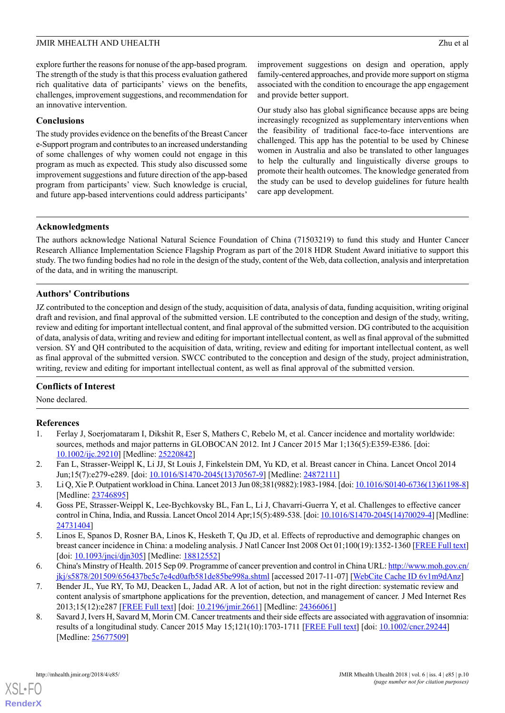explore further the reasons for nonuse of the app-based program. The strength of the study is that this process evaluation gathered rich qualitative data of participants' views on the benefits, challenges, improvement suggestions, and recommendation for an innovative intervention.

#### **Conclusions**

The study provides evidence on the benefits of the Breast Cancer e-Support program and contributes to an increased understanding of some challenges of why women could not engage in this program as much as expected. This study also discussed some improvement suggestions and future direction of the app-based program from participants' view. Such knowledge is crucial, and future app-based interventions could address participants'

improvement suggestions on design and operation, apply family-centered approaches, and provide more support on stigma associated with the condition to encourage the app engagement and provide better support.

Our study also has global significance because apps are being increasingly recognized as supplementary interventions when the feasibility of traditional face-to-face interventions are challenged. This app has the potential to be used by Chinese women in Australia and also be translated to other languages to help the culturally and linguistically diverse groups to promote their health outcomes. The knowledge generated from the study can be used to develop guidelines for future health care app development.

## **Acknowledgments**

The authors acknowledge National Natural Science Foundation of China (71503219) to fund this study and Hunter Cancer Research Alliance Implementation Science Flagship Program as part of the 2018 HDR Student Award initiative to support this study. The two funding bodies had no role in the design of the study, content of the Web, data collection, analysis and interpretation of the data, and in writing the manuscript.

## **Authors' Contributions**

JZ contributed to the conception and design of the study, acquisition of data, analysis of data, funding acquisition, writing original draft and revision, and final approval of the submitted version. LE contributed to the conception and design of the study, writing, review and editing for important intellectual content, and final approval of the submitted version. DG contributed to the acquisition of data, analysis of data, writing and review and editing for important intellectual content, as well as final approval of the submitted version. SY and QH contributed to the acquisition of data, writing, review and editing for important intellectual content, as well as final approval of the submitted version. SWCC contributed to the conception and design of the study, project administration, writing, review and editing for important intellectual content, as well as final approval of the submitted version.

## <span id="page-9-0"></span>**Conflicts of Interest**

None declared.

## <span id="page-9-1"></span>**References**

- <span id="page-9-2"></span>1. Ferlay J, Soerjomataram I, Dikshit R, Eser S, Mathers C, Rebelo M, et al. Cancer incidence and mortality worldwide: sources, methods and major patterns in GLOBOCAN 2012. Int J Cancer 2015 Mar 1;136(5):E359-E386. [doi: [10.1002/ijc.29210](http://dx.doi.org/10.1002/ijc.29210)] [Medline: [25220842\]](http://www.ncbi.nlm.nih.gov/entrez/query.fcgi?cmd=Retrieve&db=PubMed&list_uids=25220842&dopt=Abstract)
- <span id="page-9-3"></span>2. Fan L, Strasser-Weippl K, Li JJ, St Louis J, Finkelstein DM, Yu KD, et al. Breast cancer in China. Lancet Oncol 2014 Jun;15(7):e279-e289. [doi: [10.1016/S1470-2045\(13\)70567-9](http://dx.doi.org/10.1016/S1470-2045(13)70567-9)] [Medline: [24872111](http://www.ncbi.nlm.nih.gov/entrez/query.fcgi?cmd=Retrieve&db=PubMed&list_uids=24872111&dopt=Abstract)]
- <span id="page-9-4"></span>3. Li Q, Xie P. Outpatient workload in China. Lancet 2013 Jun 08;381(9882):1983-1984. [doi: [10.1016/S0140-6736\(13\)61198-8\]](http://dx.doi.org/10.1016/S0140-6736(13)61198-8) [Medline: [23746895](http://www.ncbi.nlm.nih.gov/entrez/query.fcgi?cmd=Retrieve&db=PubMed&list_uids=23746895&dopt=Abstract)]
- <span id="page-9-5"></span>4. Goss PE, Strasser-Weippl K, Lee-Bychkovsky BL, Fan L, Li J, Chavarri-Guerra Y, et al. Challenges to effective cancer control in China, India, and Russia. Lancet Oncol 2014 Apr;15(5):489-538. [doi: [10.1016/S1470-2045\(14\)70029-4](http://dx.doi.org/10.1016/S1470-2045(14)70029-4)] [Medline: [24731404](http://www.ncbi.nlm.nih.gov/entrez/query.fcgi?cmd=Retrieve&db=PubMed&list_uids=24731404&dopt=Abstract)]
- <span id="page-9-6"></span>5. Linos E, Spanos D, Rosner BA, Linos K, Hesketh T, Qu JD, et al. Effects of reproductive and demographic changes on breast cancer incidence in China: a modeling analysis. J Natl Cancer Inst 2008 Oct 01;100(19):1352-1360 [[FREE Full text](http://europepmc.org/abstract/MED/18812552)] [doi: [10.1093/jnci/djn305\]](http://dx.doi.org/10.1093/jnci/djn305) [Medline: [18812552](http://www.ncbi.nlm.nih.gov/entrez/query.fcgi?cmd=Retrieve&db=PubMed&list_uids=18812552&dopt=Abstract)]
- <span id="page-9-7"></span>6. China's Minstry of Health. 2015 Sep 09. Programme of cancer prevention and control in China URL: [http://www.moh.gov.cn/](http://www.moh.gov.cn/jkj/s5878/201509/656437bc5c7e4cd0afb581de85be998a.shtml) [jkj/s5878/201509/656437bc5c7e4cd0afb581de85be998a.shtml](http://www.moh.gov.cn/jkj/s5878/201509/656437bc5c7e4cd0afb581de85be998a.shtml) [accessed 2017-11-07] [\[WebCite Cache ID 6v1m9dAnz\]](http://www.webcitation.org/6v1m9dAnz)
- 7. Bender JL, Yue RY, To MJ, Deacken L, Jadad AR. A lot of action, but not in the right direction: systematic review and content analysis of smartphone applications for the prevention, detection, and management of cancer. J Med Internet Res 2013;15(12):e287 [[FREE Full text](http://www.jmir.org/2013/12/e287/)] [doi: [10.2196/jmir.2661\]](http://dx.doi.org/10.2196/jmir.2661) [Medline: [24366061](http://www.ncbi.nlm.nih.gov/entrez/query.fcgi?cmd=Retrieve&db=PubMed&list_uids=24366061&dopt=Abstract)]
- 8. Savard J, Ivers H, Savard M, Morin CM. Cancer treatments and their side effects are associated with aggravation of insomnia: results of a longitudinal study. Cancer 2015 May 15;121(10):1703-1711 [[FREE Full text](http://dx.doi.org/10.1002/cncr.29244)] [doi: [10.1002/cncr.29244\]](http://dx.doi.org/10.1002/cncr.29244) [Medline: [25677509](http://www.ncbi.nlm.nih.gov/entrez/query.fcgi?cmd=Retrieve&db=PubMed&list_uids=25677509&dopt=Abstract)]

 $XS$ -FO **[RenderX](http://www.renderx.com/)**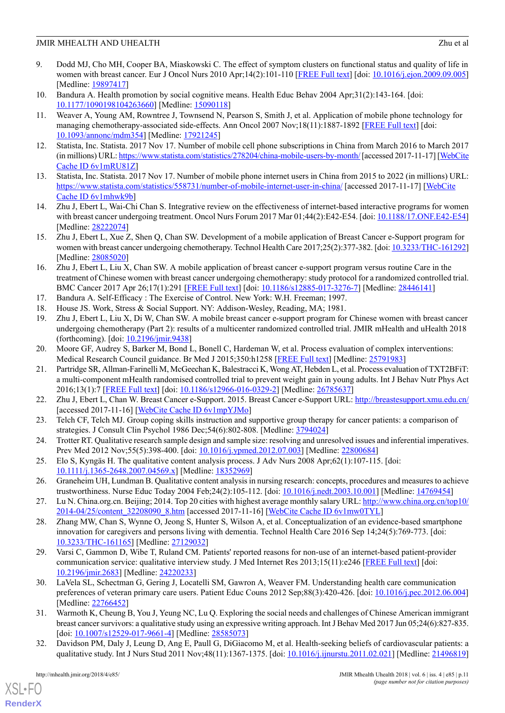- <span id="page-10-0"></span>9. Dodd MJ, Cho MH, Cooper BA, Miaskowski C. The effect of symptom clusters on functional status and quality of life in women with breast cancer. Eur J Oncol Nurs 2010 Apr;14(2):101-110 [[FREE Full text](http://europepmc.org/abstract/MED/19897417)] [doi: [10.1016/j.ejon.2009.09.005](http://dx.doi.org/10.1016/j.ejon.2009.09.005)] [Medline: [19897417](http://www.ncbi.nlm.nih.gov/entrez/query.fcgi?cmd=Retrieve&db=PubMed&list_uids=19897417&dopt=Abstract)]
- <span id="page-10-2"></span><span id="page-10-1"></span>10. Bandura A. Health promotion by social cognitive means. Health Educ Behav 2004 Apr;31(2):143-164. [doi: [10.1177/1090198104263660](http://dx.doi.org/10.1177/1090198104263660)] [Medline: [15090118\]](http://www.ncbi.nlm.nih.gov/entrez/query.fcgi?cmd=Retrieve&db=PubMed&list_uids=15090118&dopt=Abstract)
- 11. Weaver A, Young AM, Rowntree J, Townsend N, Pearson S, Smith J, et al. Application of mobile phone technology for managing chemotherapy-associated side-effects. Ann Oncol 2007 Nov;18(11):1887-1892 [\[FREE Full text\]](http://annonc.oxfordjournals.org/cgi/pmidlookup?view=long&pmid=17921245) [doi: [10.1093/annonc/mdm354\]](http://dx.doi.org/10.1093/annonc/mdm354) [Medline: [17921245\]](http://www.ncbi.nlm.nih.gov/entrez/query.fcgi?cmd=Retrieve&db=PubMed&list_uids=17921245&dopt=Abstract)
- <span id="page-10-4"></span><span id="page-10-3"></span>12. Statista, Inc. Statista. 2017 Nov 17. Number of mobile cell phone subscriptions in China from March 2016 to March 2017 (in millions) URL:<https://www.statista.com/statistics/278204/china-mobile-users-by-month/> [accessed 2017-11-17] [\[WebCite](http://www.webcitation.org/6v1mRU81Z) [Cache ID 6v1mRU81Z\]](http://www.webcitation.org/6v1mRU81Z)
- <span id="page-10-5"></span>13. Statista, Inc. Statista. 2017 Nov 17. Number of mobile phone internet users in China from 2015 to 2022 (in millions) URL: <https://www.statista.com/statistics/558731/number-of-mobile-internet-user-in-china/> [accessed 2017-11-17] [\[WebCite](http://www.webcitation.org/6v1mhwk9b) [Cache ID 6v1mhwk9b](http://www.webcitation.org/6v1mhwk9b)]
- <span id="page-10-6"></span>14. Zhu J, Ebert L, Wai-Chi Chan S. Integrative review on the effectiveness of internet-based interactive programs for women with breast cancer undergoing treatment. Oncol Nurs Forum 2017 Mar 01;44(2):E42-E54. [doi: [10.1188/17.ONF.E42-E54](http://dx.doi.org/10.1188/17.ONF.E42-E54)] [Medline: [28222074](http://www.ncbi.nlm.nih.gov/entrez/query.fcgi?cmd=Retrieve&db=PubMed&list_uids=28222074&dopt=Abstract)]
- <span id="page-10-7"></span>15. Zhu J, Ebert L, Xue Z, Shen Q, Chan SW. Development of a mobile application of Breast Cancer e-Support program for women with breast cancer undergoing chemotherapy. Technol Health Care 2017;25(2):377-382. [doi: [10.3233/THC-161292\]](http://dx.doi.org/10.3233/THC-161292) [Medline: [28085020](http://www.ncbi.nlm.nih.gov/entrez/query.fcgi?cmd=Retrieve&db=PubMed&list_uids=28085020&dopt=Abstract)]
- <span id="page-10-9"></span><span id="page-10-8"></span>16. Zhu J, Ebert L, Liu X, Chan SW. A mobile application of breast cancer e-support program versus routine Care in the treatment of Chinese women with breast cancer undergoing chemotherapy: study protocol for a randomized controlled trial. BMC Cancer 2017 Apr 26;17(1):291 [[FREE Full text](https://bmccancer.biomedcentral.com/articles/10.1186/s12885-017-3276-7)] [doi: [10.1186/s12885-017-3276-7](http://dx.doi.org/10.1186/s12885-017-3276-7)] [Medline: [28446141\]](http://www.ncbi.nlm.nih.gov/entrez/query.fcgi?cmd=Retrieve&db=PubMed&list_uids=28446141&dopt=Abstract)
- <span id="page-10-10"></span>17. Bandura A. Self-Efficacy : The Exercise of Control. New York: W.H. Freeman; 1997.
- 18. House JS. Work, Stress & Social Support. NY: Addison-Wesley, Reading, MA; 1981.
- <span id="page-10-12"></span><span id="page-10-11"></span>19. Zhu J, Ebert L, Liu X, Di W, Chan SW. A mobile breast cancer e-support program for Chinese women with breast cancer undergoing chemotherapy (Part 2): results of a multicenter randomized controlled trial. JMIR mHealth and uHealth 2018 (forthcoming). [doi: [10.2196/jmir.9438\]](http://dx.doi.org/10.2196/jmir.9438)
- 20. Moore GF, Audrey S, Barker M, Bond L, Bonell C, Hardeman W, et al. Process evaluation of complex interventions: Medical Research Council guidance. Br Med J 2015;350:h1258 [\[FREE Full text\]](http://europepmc.org/abstract/MED/25791983) [Medline: [25791983](http://www.ncbi.nlm.nih.gov/entrez/query.fcgi?cmd=Retrieve&db=PubMed&list_uids=25791983&dopt=Abstract)]
- <span id="page-10-14"></span><span id="page-10-13"></span>21. Partridge SR, Allman-Farinelli M, McGeechan K, Balestracci K, Wong AT, Hebden L, et al. Process evaluation of TXT2BFiT: a multi-component mHealth randomised controlled trial to prevent weight gain in young adults. Int J Behav Nutr Phys Act 2016;13(1):7 [[FREE Full text](http://ijbnpa.biomedcentral.com/articles/10.1186/s12966-016-0329-2)] [doi: [10.1186/s12966-016-0329-2](http://dx.doi.org/10.1186/s12966-016-0329-2)] [Medline: [26785637\]](http://www.ncbi.nlm.nih.gov/entrez/query.fcgi?cmd=Retrieve&db=PubMed&list_uids=26785637&dopt=Abstract)
- <span id="page-10-15"></span>22. Zhu J, Ebert L, Chan W. Breast Cancer e-Support. 2015. Breast Cancer e-Support URL: <http://breastesupport.xmu.edu.cn/> [accessed 2017-11-16] [[WebCite Cache ID 6v1mpYJMo](http://www.webcitation.org/6v1mpYJMo)]
- <span id="page-10-16"></span>23. Telch CF, Telch MJ. Group coping skills instruction and supportive group therapy for cancer patients: a comparison of strategies. J Consult Clin Psychol 1986 Dec;54(6):802-808. [Medline: [3794024](http://www.ncbi.nlm.nih.gov/entrez/query.fcgi?cmd=Retrieve&db=PubMed&list_uids=3794024&dopt=Abstract)]
- <span id="page-10-17"></span>24. Trotter RT. Qualitative research sample design and sample size: resolving and unresolved issues and inferential imperatives. Prev Med 2012 Nov;55(5):398-400. [doi: [10.1016/j.ypmed.2012.07.003](http://dx.doi.org/10.1016/j.ypmed.2012.07.003)] [Medline: [22800684\]](http://www.ncbi.nlm.nih.gov/entrez/query.fcgi?cmd=Retrieve&db=PubMed&list_uids=22800684&dopt=Abstract)
- <span id="page-10-19"></span><span id="page-10-18"></span>25. Elo S, Kyngäs H. The qualitative content analysis process. J Adv Nurs 2008 Apr;62(1):107-115. [doi: [10.1111/j.1365-2648.2007.04569.x\]](http://dx.doi.org/10.1111/j.1365-2648.2007.04569.x) [Medline: [18352969](http://www.ncbi.nlm.nih.gov/entrez/query.fcgi?cmd=Retrieve&db=PubMed&list_uids=18352969&dopt=Abstract)]
- 26. Graneheim UH, Lundman B. Qualitative content analysis in nursing research: concepts, procedures and measures to achieve trustworthiness. Nurse Educ Today 2004 Feb;24(2):105-112. [doi: [10.1016/j.nedt.2003.10.001\]](http://dx.doi.org/10.1016/j.nedt.2003.10.001) [Medline: [14769454](http://www.ncbi.nlm.nih.gov/entrez/query.fcgi?cmd=Retrieve&db=PubMed&list_uids=14769454&dopt=Abstract)]
- <span id="page-10-20"></span>27. Lu N. China.org.cn. Beijing; 2014. Top 20 cities with highest average monthly salary URL: [http://www.china.org.cn/top10/](http://www.china.org.cn/top10/2014-04/25/content_32208090_8.htm) [2014-04/25/content\\_32208090\\_8.htm](http://www.china.org.cn/top10/2014-04/25/content_32208090_8.htm) [accessed 2017-11-16] [\[WebCite Cache ID 6v1mw0TYL\]](http://www.webcitation.org/6v1mw0TYL)
- <span id="page-10-21"></span>28. Zhang MW, Chan S, Wynne O, Jeong S, Hunter S, Wilson A, et al. Conceptualization of an evidence-based smartphone innovation for caregivers and persons living with dementia. Technol Health Care 2016 Sep 14;24(5):769-773. [doi: [10.3233/THC-161165\]](http://dx.doi.org/10.3233/THC-161165) [Medline: [27129032](http://www.ncbi.nlm.nih.gov/entrez/query.fcgi?cmd=Retrieve&db=PubMed&list_uids=27129032&dopt=Abstract)]
- <span id="page-10-22"></span>29. Varsi C, Gammon D, Wibe T, Ruland CM. Patients' reported reasons for non-use of an internet-based patient-provider communication service: qualitative interview study. J Med Internet Res 2013;15(11):e246 [[FREE Full text](http://www.jmir.org/2013/11/e246/)] [doi: [10.2196/jmir.2683](http://dx.doi.org/10.2196/jmir.2683)] [Medline: [24220233](http://www.ncbi.nlm.nih.gov/entrez/query.fcgi?cmd=Retrieve&db=PubMed&list_uids=24220233&dopt=Abstract)]
- <span id="page-10-23"></span>30. LaVela SL, Schectman G, Gering J, Locatelli SM, Gawron A, Weaver FM. Understanding health care communication preferences of veteran primary care users. Patient Educ Couns 2012 Sep;88(3):420-426. [doi: [10.1016/j.pec.2012.06.004](http://dx.doi.org/10.1016/j.pec.2012.06.004)] [Medline: [22766452](http://www.ncbi.nlm.nih.gov/entrez/query.fcgi?cmd=Retrieve&db=PubMed&list_uids=22766452&dopt=Abstract)]
- 31. Warmoth K, Cheung B, You J, Yeung NC, Lu Q. Exploring the social needs and challenges of Chinese American immigrant breast cancer survivors: a qualitative study using an expressive writing approach. Int J Behav Med 2017 Jun 05;24(6):827-835. [doi: [10.1007/s12529-017-9661-4](http://dx.doi.org/10.1007/s12529-017-9661-4)] [Medline: [28585073\]](http://www.ncbi.nlm.nih.gov/entrez/query.fcgi?cmd=Retrieve&db=PubMed&list_uids=28585073&dopt=Abstract)
- 32. Davidson PM, Daly J, Leung D, Ang E, Paull G, DiGiacomo M, et al. Health-seeking beliefs of cardiovascular patients: a qualitative study. Int J Nurs Stud 2011 Nov;48(11):1367-1375. [doi: [10.1016/j.ijnurstu.2011.02.021](http://dx.doi.org/10.1016/j.ijnurstu.2011.02.021)] [Medline: [21496819](http://www.ncbi.nlm.nih.gov/entrez/query.fcgi?cmd=Retrieve&db=PubMed&list_uids=21496819&dopt=Abstract)]

[XSL](http://www.w3.org/Style/XSL)•FO **[RenderX](http://www.renderx.com/)**